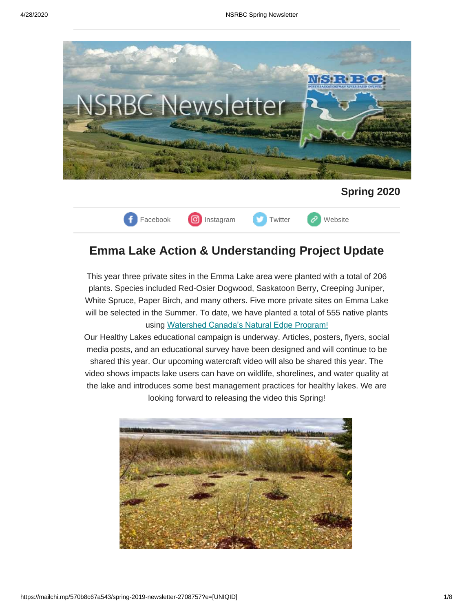



## **Emma Lake Action & Understanding Project Update**

This year three private sites in the Emma Lake area were planted with a total of 206 plants. Species included Red-Osier Dogwood, Saskatoon Berry, Creeping Juniper, White Spruce, Paper Birch, and many others. Five more private sites on Emma Lake will be selected in the Summer. To date, we have planted a total of 555 native plants using [Watershed Canada's Natural Edge Program!](https://watersheds.ca/our-work/the-natural-edge/)

Our Healthy Lakes educational campaign is underway. Articles, posters, flyers, social media posts, and an educational survey have been designed and will continue to be shared this year. Our upcoming watercraft video will also be shared this year. The video shows impacts lake users can have on wildlife, shorelines, and water quality at the lake and introduces some best management practices for healthy lakes. We are looking forward to releasing the video this Spring!

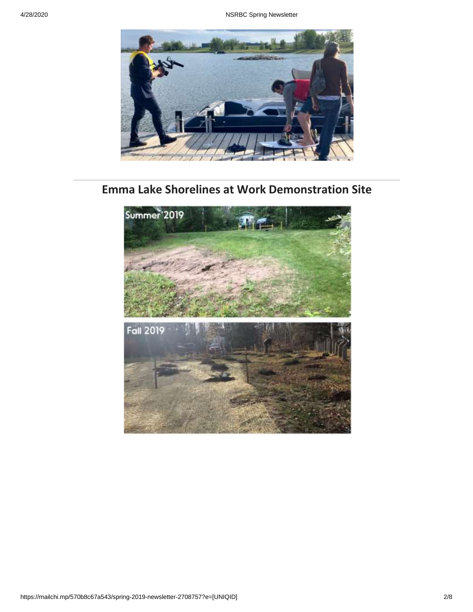

# **Emma Lake Shorelines at Work Demonstration Site**

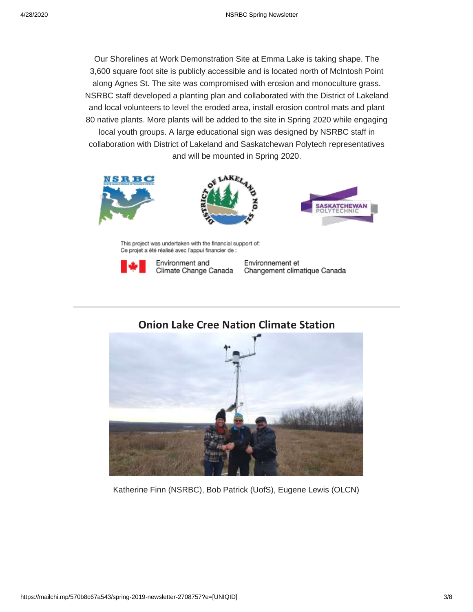Our Shorelines at Work Demonstration Site at Emma Lake is taking shape. The 3,600 square foot site is publicly accessible and is located north of McIntosh Point along Agnes St. The site was compromised with erosion and monoculture grass. NSRBC staff developed a planting plan and collaborated with the District of Lakeland and local volunteers to level the eroded area, install erosion control mats and plant 80 native plants. More plants will be added to the site in Spring 2020 while engaging local youth groups. A large educational sign was designed by NSRBC staff in collaboration with District of Lakeland and Saskatchewan Polytech representatives and will be mounted in Spring 2020.







This project was undertaken with the financial support of: Ce projet a été réalisé avec l'appui financier de :



Environment and Climate Change Canada Environnement et Changement climatique Canada

**Onion Lake Cree Nation Climate Station**



Katherine Finn (NSRBC), Bob Patrick (UofS), Eugene Lewis (OLCN)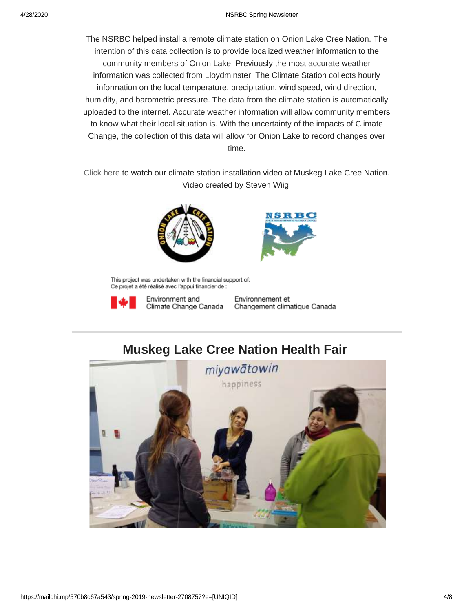The NSRBC helped install a remote climate station on Onion Lake Cree Nation. The intention of this data collection is to provide localized weather information to the community members of Onion Lake. Previously the most accurate weather information was collected from Lloydminster. The Climate Station collects hourly information on the local temperature, precipitation, wind speed, wind direction, humidity, and barometric pressure. The data from the climate station is automatically uploaded to the internet. Accurate weather information will allow community members to know what their local situation is. With the uncertainty of the impacts of Climate Change, the collection of this data will allow for Onion Lake to record changes over time.

[Click here](https://www.youtube.com/watch?v=6c3yiwVL3Vs&feature=youtu.be) to watch our climate station installation video at Muskeg Lake Cree Nation. Video created by Steven Wiig





This project was undertaken with the financial support of: Ce projet a été réalisé avec l'appui financier de :



Environment and

Environnement et Climate Change Canada Changement climatique Canada

## **Muskeg Lake Cree Nation Health Fair**

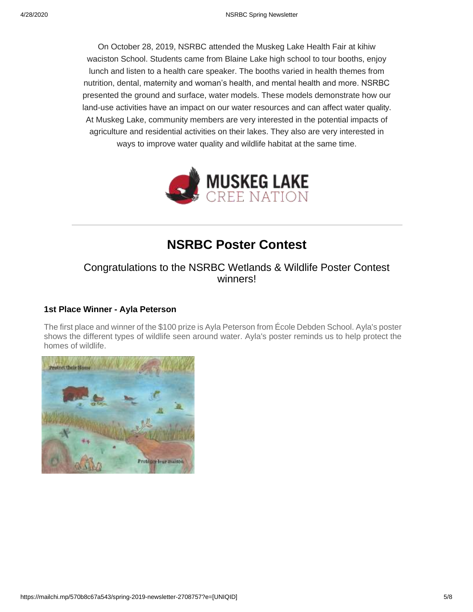On October 28, 2019, NSRBC attended the Muskeg Lake Health Fair at kihiw waciston School. Students came from Blaine Lake high school to tour booths, enjoy lunch and listen to a health care speaker. The booths varied in health themes from nutrition, dental, maternity and woman's health, and mental health and more. NSRBC presented the ground and surface, water models. These models demonstrate how our land-use activities have an impact on our water resources and can affect water quality. At Muskeg Lake, community members are very interested in the potential impacts of agriculture and residential activities on their lakes. They also are very interested in ways to improve water quality and wildlife habitat at the same time.



## **NSRBC Poster Contest**

### Congratulations to the NSRBC Wetlands & Wildlife Poster Contest winners!

### **1st Place Winner - Ayla Peterson**

The first place and winner of the \$100 prize is Ayla Peterson from École Debden School. Ayla's poster shows the different types of wildlife seen around water. Ayla's poster reminds us to help protect the homes of wildlife.

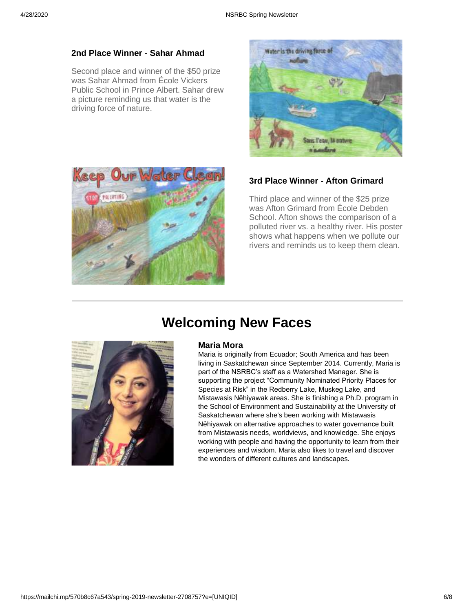#### **2nd Place Winner - Sahar Ahmad**

Second place and winner of the \$50 prize was Sahar Ahmad from École Vickers Public School in Prince Albert. Sahar drew a picture reminding us that water is the driving force of nature.





### **3rd Place Winner - Afton Grimard**

Third place and winner of the \$25 prize was Afton Grimard from École Debden School. Afton shows the comparison of a polluted river vs. a healthy river. His poster shows what happens when we pollute our rivers and reminds us to keep them clean.

# **Welcoming New Faces**



#### **Maria Mora**

Maria is originally from Ecuador; South America and has been living in Saskatchewan since September 2014. Currently, Maria is part of the NSRBC's staff as a Watershed Manager. She is supporting the project "Community Nominated Priority Places for Species at Risk" in the Redberry Lake, Muskeg Lake, and Mistawasis Nêhiyawak areas. She is finishing a Ph.D. program in the School of Environment and Sustainability at the University of Saskatchewan where she's been working with Mistawasis Nêhiyawak on alternative approaches to water governance built from Mistawasis needs, worldviews, and knowledge. She enjoys working with people and having the opportunity to learn from their experiences and wisdom. Maria also likes to travel and discover the wonders of different cultures and landscapes.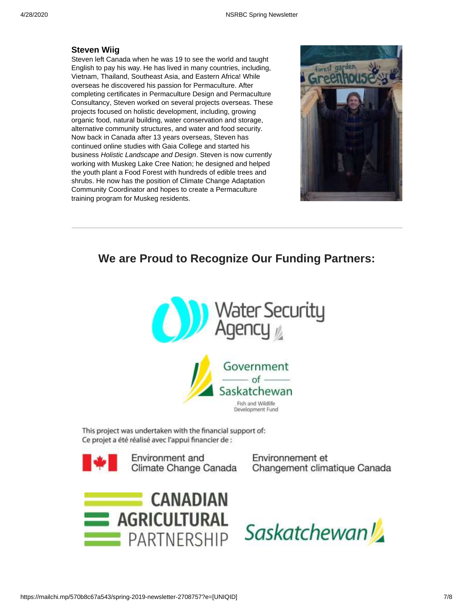#### **Steven [Wiig](https://us11.campaign-archive.com/home/?u=14a2632bac00c5b42c96d2742&id=214c7672f5)**

[Steven left Canada when](https://us11.campaign-archive.com/home/?u=14a2632bac00c5b42c96d2742&id=214c7672f5) he was 19 to see the world and taught English to pay his way. He has lived in many countries, including, Vietnam, Thailand, Southeast Asia, and Eastern Africa! While overseas he discovered his passion for Permaculture. After completing certificates in Permaculture Design and Permaculture Consultancy, Steven worked on several projects overseas. These projects focused on holistic development, including, growing organic food, natural building, water conservation and storage, alternative community structures, and water and food security. Now back in Canada after 13 years overseas, Steven has continued online studies with Gaia College and started his business *Holistic Landscape and Design*. Steven is now currently working with Muskeg Lake Cree Nation; he designed and helped the youth plant a Food Forest with hundreds of edible trees and shrubs. He now has the position of Climate Change Adaptation Community Coordinator and hopes to create a Permaculture training program for Muskeg residents.



### **We are Proud to Recognize Our Funding Partners:**





This project was undertaken with the financial support of: Ce projet a été réalisé avec l'appui financier de :



Environment and Climate Change Canada Environnement et Changement climatique Canada